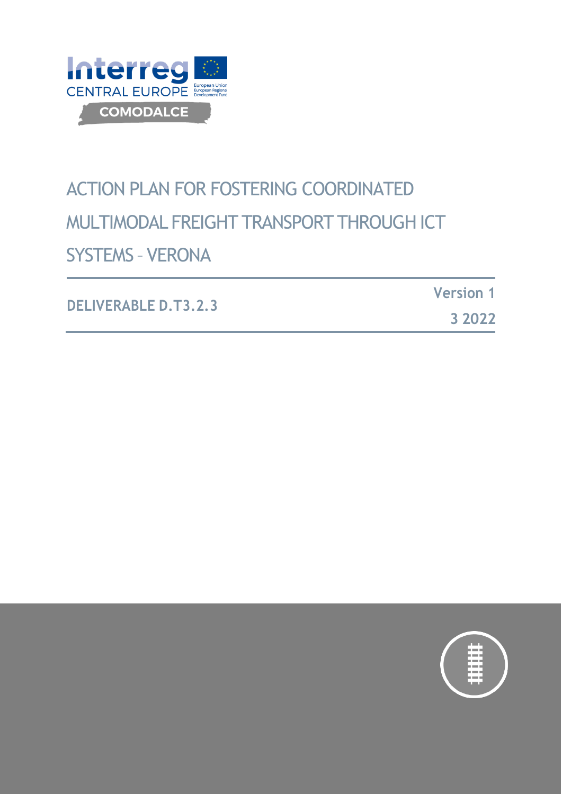

# ACTION PLAN FOR FOSTERING COORDINATED MULTIMODAL FREIGHT TRANSPORT THROUGHICT SYSTEMS – VERONA

| <b>DELIVERABLE D.T3.2.3</b> | <b>Version 1</b> |
|-----------------------------|------------------|
|                             | 3 2022           |

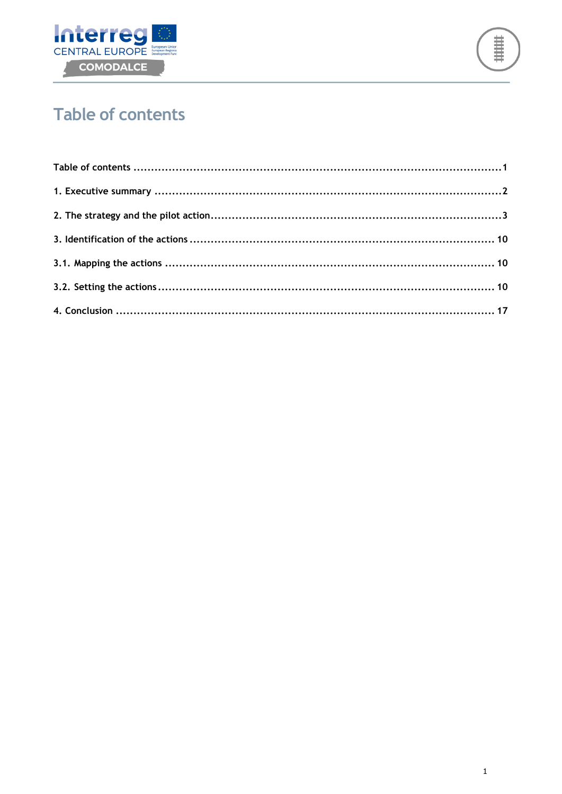



# <span id="page-1-0"></span>**Table of contents**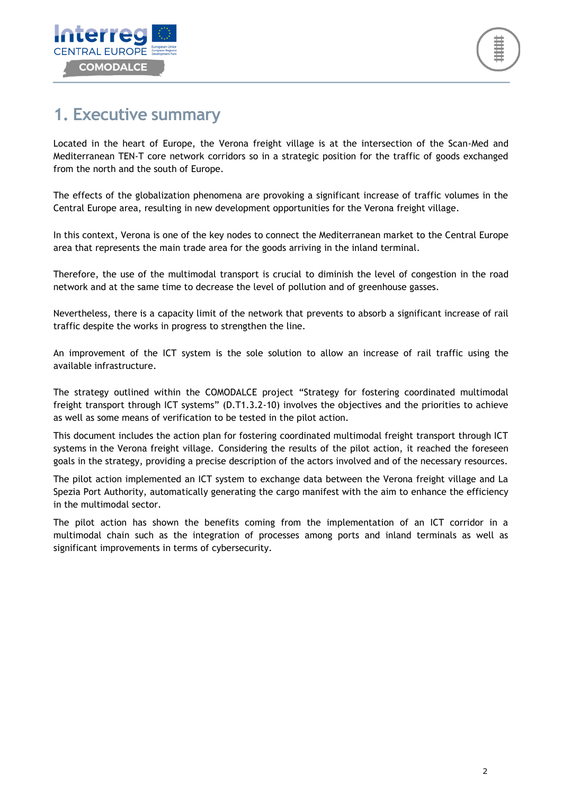

### <span id="page-2-0"></span>**1. Executive summary**

Located in the heart of Europe, the Verona freight village is at the intersection of the Scan-Med and Mediterranean TEN-T core network corridors so in a strategic position for the traffic of goods exchanged from the north and the south of Europe.

The effects of the globalization phenomena are provoking a significant increase of traffic volumes in the Central Europe area, resulting in new development opportunities for the Verona freight village.

In this context, Verona is one of the key nodes to connect the Mediterranean market to the Central Europe area that represents the main trade area for the goods arriving in the inland terminal.

Therefore, the use of the multimodal transport is crucial to diminish the level of congestion in the road network and at the same time to decrease the level of pollution and of greenhouse gasses.

Nevertheless, there is a capacity limit of the network that prevents to absorb a significant increase of rail traffic despite the works in progress to strengthen the line.

An improvement of the ICT system is the sole solution to allow an increase of rail traffic using the available infrastructure.

The strategy outlined within the COMODALCE project "Strategy for fostering coordinated multimodal freight transport through ICT systems" (D.T1.3.2-10) involves the objectives and the priorities to achieve as well as some means of verification to be tested in the pilot action.

This document includes the action plan for fostering coordinated multimodal freight transport through ICT systems in the Verona freight village. Considering the results of the pilot action, it reached the foreseen goals in the strategy, providing a precise description of the actors involved and of the necessary resources.

The pilot action implemented an ICT system to exchange data between the Verona freight village and La Spezia Port Authority, automatically generating the cargo manifest with the aim to enhance the efficiency in the multimodal sector.

The pilot action has shown the benefits coming from the implementation of an ICT corridor in a multimodal chain such as the integration of processes among ports and inland terminals as well as significant improvements in terms of cybersecurity.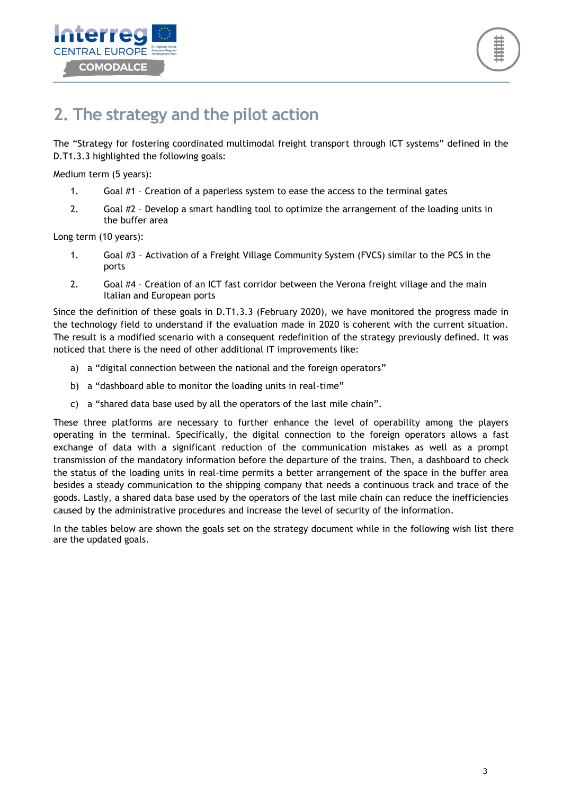![](_page_3_Picture_0.jpeg)

### <span id="page-3-0"></span>**2. The strategy and the pilot action**

The "Strategy for fostering coordinated multimodal freight transport through ICT systems" defined in the D.T1.3.3 highlighted the following goals:

Medium term (5 years):

- 1. Goal #1 Creation of a paperless system to ease the access to the terminal gates
- 2. Goal #2 Develop a smart handling tool to optimize the arrangement of the loading units in the buffer area

Long term (10 years):

- 1. Goal #3 Activation of a Freight Village Community System (FVCS) similar to the PCS in the ports
- 2. Goal #4 Creation of an ICT fast corridor between the Verona freight village and the main Italian and European ports

Since the definition of these goals in D.T1.3.3 (February 2020), we have monitored the progress made in the technology field to understand if the evaluation made in 2020 is coherent with the current situation. The result is a modified scenario with a consequent redefinition of the strategy previously defined. It was noticed that there is the need of other additional IT improvements like:

- a) a "digital connection between the national and the foreign operators"
- b) a "dashboard able to monitor the loading units in real-time"
- c) a "shared data base used by all the operators of the last mile chain".

These three platforms are necessary to further enhance the level of operability among the players operating in the terminal. Specifically, the digital connection to the foreign operators allows a fast exchange of data with a significant reduction of the communication mistakes as well as a prompt transmission of the mandatory information before the departure of the trains. Then, a dashboard to check the status of the loading units in real-time permits a better arrangement of the space in the buffer area besides a steady communication to the shipping company that needs a continuous track and trace of the goods. Lastly, a shared data base used by the operators of the last mile chain can reduce the inefficiencies caused by the administrative procedures and increase the level of security of the information.

In the tables below are shown the goals set on the strategy document while in the following wish list there are the updated goals.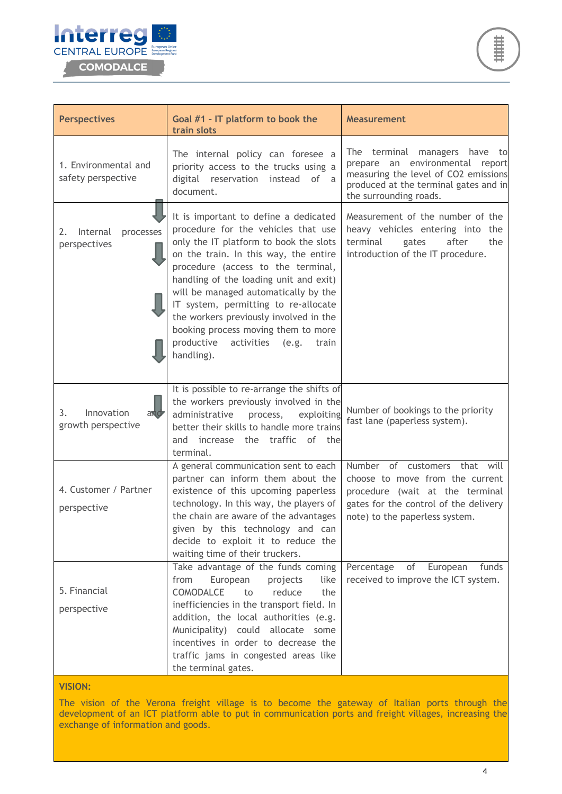![](_page_4_Picture_0.jpeg)

![](_page_4_Picture_1.jpeg)

| <b>Perspectives</b>                           | Goal #1 - IT platform to book the<br>train slots                                                                                                                                                                                                                                                                                                                                                                                                                             | Measurement                                                                                                                                                                          |
|-----------------------------------------------|------------------------------------------------------------------------------------------------------------------------------------------------------------------------------------------------------------------------------------------------------------------------------------------------------------------------------------------------------------------------------------------------------------------------------------------------------------------------------|--------------------------------------------------------------------------------------------------------------------------------------------------------------------------------------|
| 1. Environmental and<br>safety perspective    | The internal policy can foresee a<br>priority access to the trucks using a<br>digital reservation instead of<br>a<br>document.                                                                                                                                                                                                                                                                                                                                               | The terminal<br>managers<br>have<br>to<br>prepare an environmental report<br>measuring the level of CO2 emissions<br>produced at the terminal gates and in<br>the surrounding roads. |
| processes<br>Internal<br>2.<br>perspectives   | It is important to define a dedicated<br>procedure for the vehicles that use<br>only the IT platform to book the slots<br>on the train. In this way, the entire<br>procedure (access to the terminal,<br>handling of the loading unit and exit)<br>will be managed automatically by the<br>IT system, permitting to re-allocate<br>the workers previously involved in the<br>booking process moving them to more<br>productive<br>activities<br>(e.g.<br>train<br>handling). | Measurement of the number of the<br>heavy vehicles entering into the<br>terminal<br>after<br>the<br>gates<br>introduction of the IT procedure.                                       |
| Innovation<br>3.<br>and<br>growth perspective | It is possible to re-arrange the shifts of<br>the workers previously involved in the<br>administrative<br>process,<br>exploiting<br>better their skills to handle more trains<br>increase the traffic of the<br>and<br>terminal.                                                                                                                                                                                                                                             | Number of bookings to the priority<br>fast lane (paperless system).                                                                                                                  |
| 4. Customer / Partner<br>perspective          | A general communication sent to each<br>partner can inform them about the<br>existence of this upcoming paperless<br>technology. In this way, the players of<br>the chain are aware of the advantages<br>given by this technology and can<br>decide to exploit it to reduce the<br>waiting time of their truckers.                                                                                                                                                           | Number of customers that will<br>choose to move from the current<br>procedure (wait at the terminal<br>gates for the control of the delivery<br>note) to the paperless system.       |
| 5. Financial<br>perspective                   | Take advantage of the funds coming<br>from<br>European<br>projects<br>like<br>COMODALCE<br>reduce<br>to<br>the<br>inefficiencies in the transport field. In<br>addition, the local authorities (e.g.<br>Municipality) could allocate some<br>incentives in order to decrease the<br>traffic jams in congested areas like<br>the terminal gates.                                                                                                                              | Percentage<br>of<br>European<br>funds<br>received to improve the ICT system.                                                                                                         |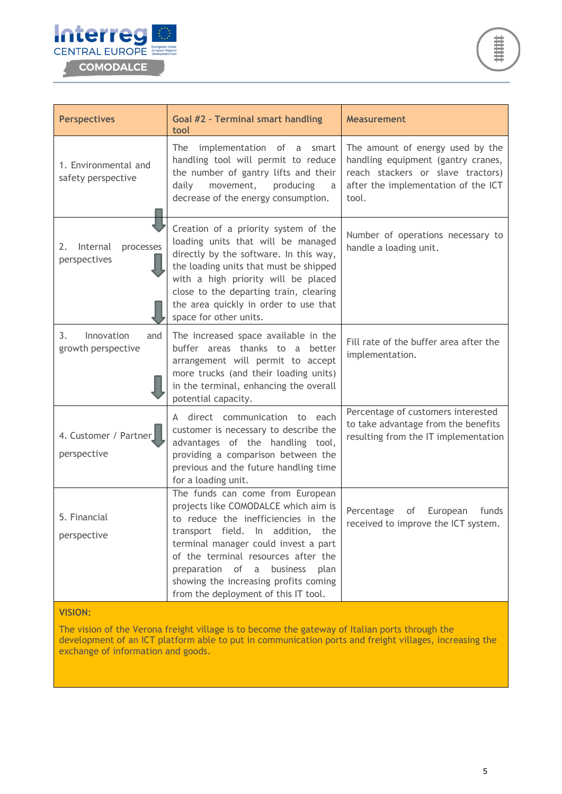![](_page_5_Picture_0.jpeg)

![](_page_5_Picture_1.jpeg)

| <b>Perspectives</b>                           | Goal #2 - Terminal smart handling<br>tool                                                                                                                                                                                                                                                                                                                    | <b>Measurement</b>                                                                                                                                          |  |
|-----------------------------------------------|--------------------------------------------------------------------------------------------------------------------------------------------------------------------------------------------------------------------------------------------------------------------------------------------------------------------------------------------------------------|-------------------------------------------------------------------------------------------------------------------------------------------------------------|--|
| 1. Environmental and<br>safety perspective    | implementation of<br>The<br>a<br>smart<br>handling tool will permit to reduce<br>the number of gantry lifts and their<br>daily<br>movement,<br>producing<br>a<br>decrease of the energy consumption.                                                                                                                                                         | The amount of energy used by the<br>handling equipment (gantry cranes,<br>reach stackers or slave tractors)<br>after the implementation of the ICT<br>tool. |  |
| Internal<br>processes<br>2.<br>perspectives   | Creation of a priority system of the<br>loading units that will be managed<br>directly by the software. In this way,<br>the loading units that must be shipped<br>with a high priority will be placed<br>close to the departing train, clearing<br>the area quickly in order to use that<br>space for other units.                                           | Number of operations necessary to<br>handle a loading unit.                                                                                                 |  |
| 3.<br>Innovation<br>and<br>growth perspective | The increased space available in the<br>buffer areas thanks to a better<br>arrangement will permit to accept<br>more trucks (and their loading units)<br>in the terminal, enhancing the overall<br>potential capacity.                                                                                                                                       | Fill rate of the buffer area after the<br>implementation.                                                                                                   |  |
| 4. Customer / Partner<br>perspective          | A direct communication to each<br>customer is necessary to describe the<br>advantages of the handling tool,<br>providing a comparison between the<br>previous and the future handling time<br>for a loading unit.                                                                                                                                            | Percentage of customers interested<br>to take advantage from the benefits<br>resulting from the IT implementation                                           |  |
| 5. Financial<br>perspective                   | The funds can come from European<br>projects like COMODALCE which aim is<br>to reduce the inefficiencies in the<br>transport field. In addition, the<br>terminal manager could invest a part<br>of the terminal resources after the<br>preparation of a<br>business<br>plan<br>showing the increasing profits coming<br>from the deployment of this IT tool. | Percentage<br>European<br>funds<br>of<br>received to improve the ICT system.                                                                                |  |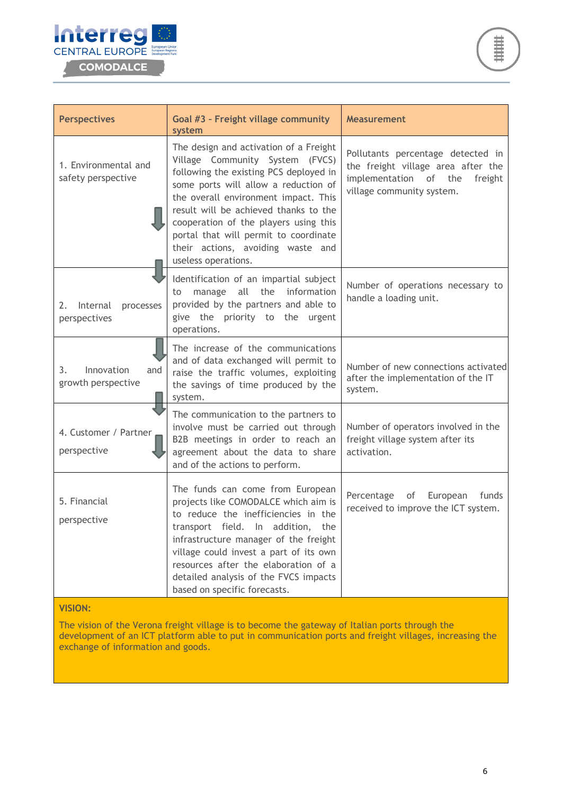![](_page_6_Picture_0.jpeg)

![](_page_6_Picture_1.jpeg)

| <b>Perspectives</b>                           | Goal #3 - Freight village community<br>system                                                                                                                                                                                                                                                                                                                                              | <b>Measurement</b>                                                                                                                       |
|-----------------------------------------------|--------------------------------------------------------------------------------------------------------------------------------------------------------------------------------------------------------------------------------------------------------------------------------------------------------------------------------------------------------------------------------------------|------------------------------------------------------------------------------------------------------------------------------------------|
| 1. Environmental and<br>safety perspective    | The design and activation of a Freight<br>Village Community System (FVCS)<br>following the existing PCS deployed in<br>some ports will allow a reduction of<br>the overall environment impact. This<br>result will be achieved thanks to the<br>cooperation of the players using this<br>portal that will permit to coordinate<br>their actions, avoiding waste and<br>useless operations. | Pollutants percentage detected in<br>the freight village area after the<br>implementation of the<br>freight<br>village community system. |
| Internal<br>2.<br>processes<br>perspectives   | Identification of an impartial subject<br>manage all the<br>information<br>to<br>provided by the partners and able to<br>give the priority to the<br>urgent<br>operations.                                                                                                                                                                                                                 | Number of operations necessary to<br>handle a loading unit.                                                                              |
| Innovation<br>3.<br>and<br>growth perspective | The increase of the communications<br>and of data exchanged will permit to<br>raise the traffic volumes, exploiting<br>the savings of time produced by the<br>system.                                                                                                                                                                                                                      | Number of new connections activated<br>after the implementation of the IT<br>system.                                                     |
| 4. Customer / Partner<br>perspective          | The communication to the partners to<br>involve must be carried out through<br>B2B meetings in order to reach an<br>agreement about the data to share<br>and of the actions to perform.                                                                                                                                                                                                    | Number of operators involved in the<br>freight village system after its<br>activation.                                                   |
| 5. Financial<br>perspective                   | The funds can come from European<br>projects like COMODALCE which aim is<br>to reduce the inefficiencies in the<br>transport field. In addition,<br>the<br>infrastructure manager of the freight<br>village could invest a part of its own<br>resources after the elaboration of a<br>detailed analysis of the FVCS impacts<br>based on specific forecasts.                                | Percentage<br>European<br>of<br>funds<br>received to improve the ICT system.                                                             |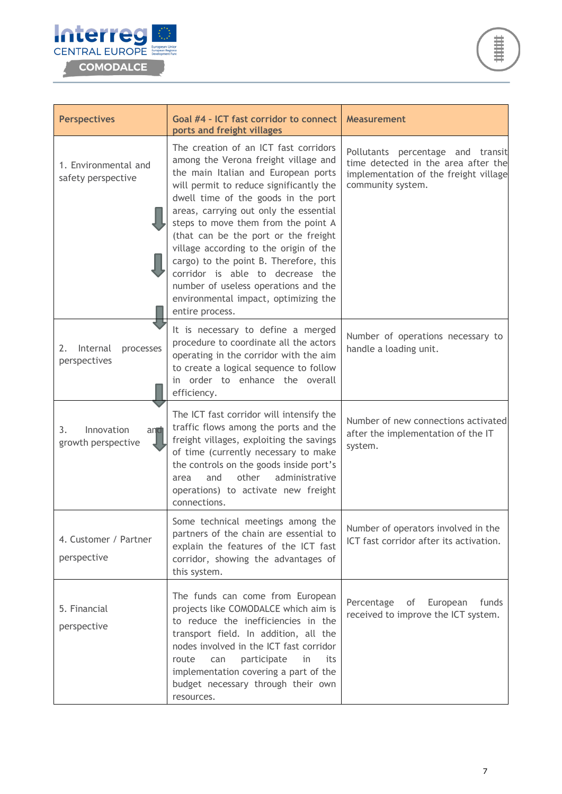![](_page_7_Picture_0.jpeg)

![](_page_7_Picture_1.jpeg)

| <b>Perspectives</b>                           | Goal #4 - ICT fast corridor to connect<br>ports and freight villages                                                                                                                                                                                                                                                                                                                                                                                                                                                                                       | <b>Measurement</b>                                                                                                                     |
|-----------------------------------------------|------------------------------------------------------------------------------------------------------------------------------------------------------------------------------------------------------------------------------------------------------------------------------------------------------------------------------------------------------------------------------------------------------------------------------------------------------------------------------------------------------------------------------------------------------------|----------------------------------------------------------------------------------------------------------------------------------------|
| 1. Environmental and<br>safety perspective    | The creation of an ICT fast corridors<br>among the Verona freight village and<br>the main Italian and European ports<br>will permit to reduce significantly the<br>dwell time of the goods in the port<br>areas, carrying out only the essential<br>steps to move them from the point A<br>(that can be the port or the freight<br>village according to the origin of the<br>cargo) to the point B. Therefore, this<br>corridor is able to decrease the<br>number of useless operations and the<br>environmental impact, optimizing the<br>entire process. | Pollutants percentage and transit<br>time detected in the area after the<br>implementation of the freight village<br>community system. |
| Internal<br>processes<br>2.<br>perspectives   | It is necessary to define a merged<br>procedure to coordinate all the actors<br>operating in the corridor with the aim<br>to create a logical sequence to follow<br>in order to enhance the overall<br>efficiency.                                                                                                                                                                                                                                                                                                                                         | Number of operations necessary to<br>handle a loading unit.                                                                            |
| Innovation<br>3.<br>and<br>growth perspective | The ICT fast corridor will intensify the<br>traffic flows among the ports and the<br>freight villages, exploiting the savings<br>of time (currently necessary to make<br>the controls on the goods inside port's<br>other<br>administrative<br>and<br>area<br>operations) to activate new freight<br>connections.                                                                                                                                                                                                                                          | Number of new connections activated<br>after the implementation of the IT<br>system.                                                   |
| 4. Customer / Partner<br>perspective          | Some technical meetings among the<br>partners of the chain are essential to<br>explain the features of the ICT fast<br>corridor, showing the advantages of<br>this system.                                                                                                                                                                                                                                                                                                                                                                                 | Number of operators involved in the<br>ICT fast corridor after its activation.                                                         |
| 5. Financial<br>perspective                   | The funds can come from European<br>projects like COMODALCE which aim is<br>to reduce the inefficiencies in the<br>transport field. In addition, all the<br>nodes involved in the ICT fast corridor<br>route<br>participate<br>in<br>its<br>can<br>implementation covering a part of the<br>budget necessary through their own<br>resources.                                                                                                                                                                                                               | Percentage<br>European<br>of<br>funds<br>received to improve the ICT system.                                                           |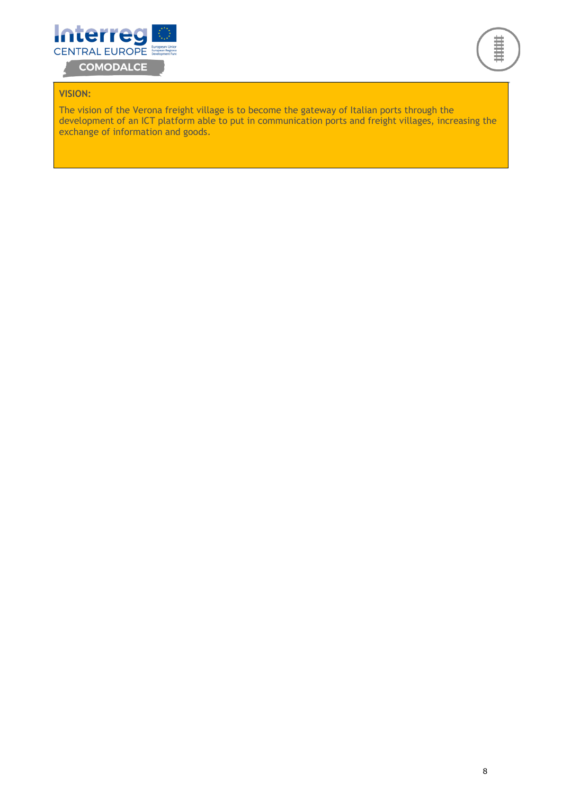![](_page_8_Picture_0.jpeg)

![](_page_8_Picture_1.jpeg)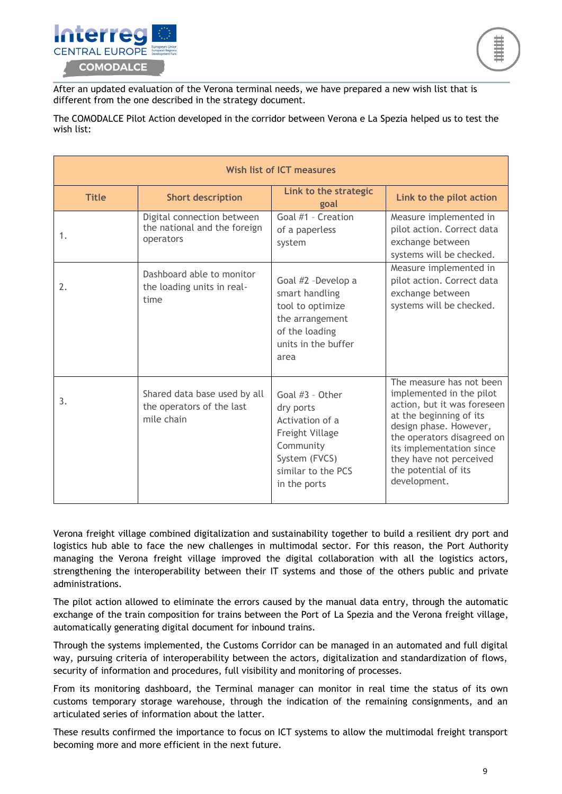![](_page_9_Picture_0.jpeg)

![](_page_9_Picture_1.jpeg)

After an updated evaluation of the Verona terminal needs, we have prepared a new wish list that is different from the one described in the strategy document.

The COMODALCE Pilot Action developed in the corridor between Verona e La Spezia helped us to test the wish list:

| <b>Wish list of ICT measures</b> |                                                                         |                                                                                                                                        |                                                                                                                                                                                                                                                                       |
|----------------------------------|-------------------------------------------------------------------------|----------------------------------------------------------------------------------------------------------------------------------------|-----------------------------------------------------------------------------------------------------------------------------------------------------------------------------------------------------------------------------------------------------------------------|
| <b>Title</b>                     | <b>Short description</b>                                                | Link to the strategic<br>goal                                                                                                          | Link to the pilot action                                                                                                                                                                                                                                              |
| 1.                               | Digital connection between<br>the national and the foreign<br>operators | Goal #1 - Creation<br>of a paperless<br>system                                                                                         | Measure implemented in<br>pilot action. Correct data<br>exchange between<br>systems will be checked.                                                                                                                                                                  |
| 2.                               | Dashboard able to monitor<br>the loading units in real-<br>time         | Goal #2 -Develop a<br>smart handling<br>tool to optimize<br>the arrangement<br>of the loading<br>units in the buffer<br>area           | Measure implemented in<br>pilot action. Correct data<br>exchange between<br>systems will be checked.                                                                                                                                                                  |
| 3.                               | Shared data base used by all<br>the operators of the last<br>mile chain | Goal #3 - Other<br>dry ports<br>Activation of a<br>Freight Village<br>Community<br>System (FVCS)<br>similar to the PCS<br>in the ports | The measure has not been<br>implemented in the pilot<br>action, but it was foreseen<br>at the beginning of its<br>design phase. However,<br>the operators disagreed on<br>its implementation since<br>they have not perceived<br>the potential of its<br>development. |

Verona freight village combined digitalization and sustainability together to build a resilient dry port and logistics hub able to face the new challenges in multimodal sector. For this reason, the Port Authority managing the Verona freight village improved the digital collaboration with all the logistics actors, strengthening the interoperability between their IT systems and those of the others public and private administrations.

The pilot action allowed to eliminate the errors caused by the manual data entry, through the automatic exchange of the train composition for trains between the Port of La Spezia and the Verona freight village, automatically generating digital document for inbound trains.

Through the systems implemented, the Customs Corridor can be managed in an automated and full digital way, pursuing criteria of interoperability between the actors, digitalization and standardization of flows, security of information and procedures, full visibility and monitoring of processes.

From its monitoring dashboard, the Terminal manager can monitor in real time the status of its own customs temporary storage warehouse, through the indication of the remaining consignments, and an articulated series of information about the latter.

These results confirmed the importance to focus on ICT systems to allow the multimodal freight transport becoming more and more efficient in the next future.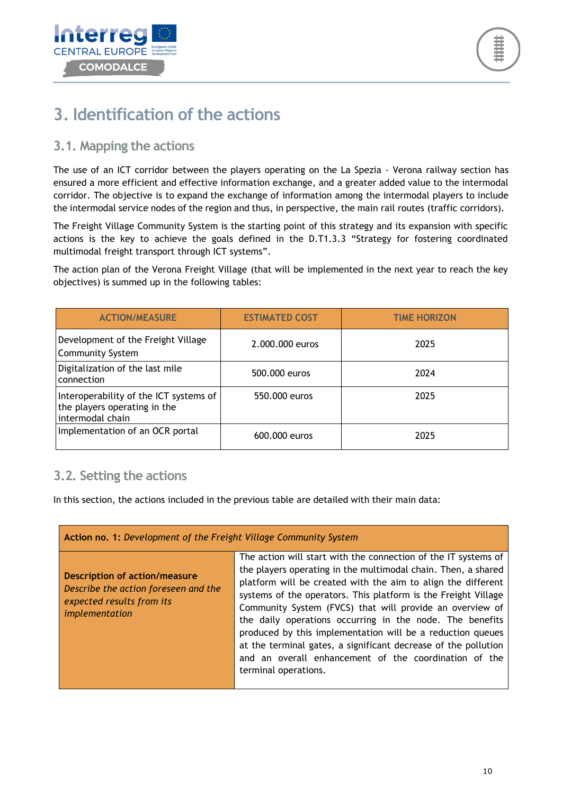![](_page_10_Picture_0.jpeg)

## <span id="page-10-0"></span>**3. Identification of the actions**

### <span id="page-10-1"></span>**3.1. Mapping the actions**

The use of an ICT corridor between the players operating on the La Spezia - Verona railway section has ensured a more efficient and effective information exchange, and a greater added value to the intermodal corridor. The objective is to expand the exchange of information among the intermodal players to include the intermodal service nodes of the region and thus, in perspective, the main rail routes (traffic corridors).

The Freight Village Community System is the starting point of this strategy and its expansion with specific actions is the key to achieve the goals defined in the D.T1.3.3 "Strategy for fostering coordinated multimodal freight transport through ICT systems".

The action plan of the Verona Freight Village (that will be implemented in the next year to reach the key objectives) is summed up in the following tables:

| <b>ACTION/MEASURE</b>                                                                      | <b>ESTIMATED COST</b> | <b>TIME HORIZON</b> |
|--------------------------------------------------------------------------------------------|-----------------------|---------------------|
| Development of the Freight Village<br><b>Community System</b>                              | 2.000.000 euros       | 2025                |
| Digitalization of the last mile<br>connection                                              | 500,000 euros         | 2024                |
| Interoperability of the ICT systems of<br>the players operating in the<br>intermodal chain | 550,000 euros         | 2025                |
| Implementation of an OCR portal                                                            | 600,000 euros         | 2025                |

### <span id="page-10-2"></span>**3.2. Setting the actions**

In this section, the actions included in the previous table are detailed with their main data:

| Action no. 1: Development of the Freight Village Community System                                                           |                                                                                                                                                                                                                                                                                                                                                                                                                                                                                                                                                                                                            |  |
|-----------------------------------------------------------------------------------------------------------------------------|------------------------------------------------------------------------------------------------------------------------------------------------------------------------------------------------------------------------------------------------------------------------------------------------------------------------------------------------------------------------------------------------------------------------------------------------------------------------------------------------------------------------------------------------------------------------------------------------------------|--|
| <b>Description of action/measure</b><br>Describe the action foreseen and the<br>expected results from its<br>implementation | The action will start with the connection of the IT systems of<br>the players operating in the multimodal chain. Then, a shared<br>platform will be created with the aim to align the different<br>systems of the operators. This platform is the Freight Village<br>Community System (FVCS) that will provide an overview of<br>the daily operations occurring in the node. The benefits<br>produced by this implementation will be a reduction queues<br>at the terminal gates, a significant decrease of the pollution<br>and an overall enhancement of the coordination of the<br>terminal operations. |  |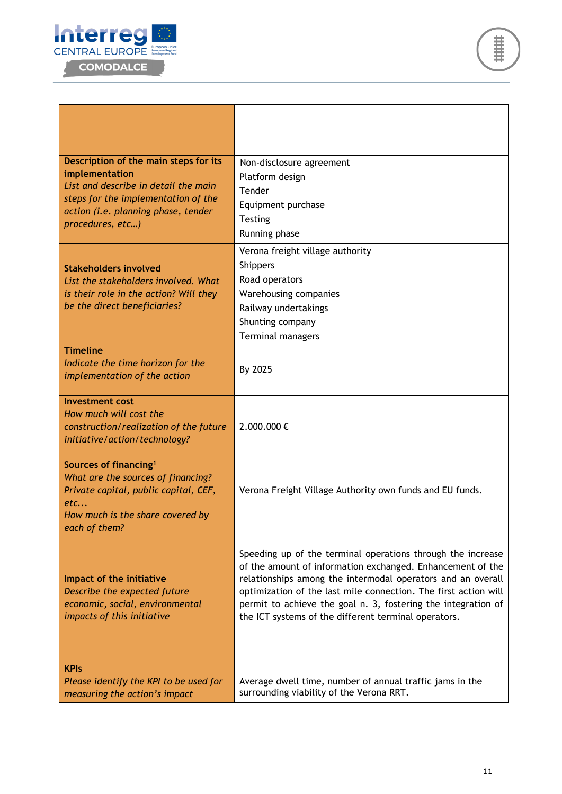![](_page_11_Picture_0.jpeg)

| Description of the main steps for its<br>implementation<br>List and describe in detail the main<br>steps for the implementation of the<br>action (i.e. planning phase, tender<br>procedures, etc) | Non-disclosure agreement<br>Platform design<br>Tender<br>Equipment purchase<br>Testing<br>Running phase                                                                                                                                                                                                                                                                              |
|---------------------------------------------------------------------------------------------------------------------------------------------------------------------------------------------------|--------------------------------------------------------------------------------------------------------------------------------------------------------------------------------------------------------------------------------------------------------------------------------------------------------------------------------------------------------------------------------------|
| <b>Stakeholders involved</b><br>List the stakeholders involved. What<br>is their role in the action? Will they<br>be the direct beneficiaries?                                                    | Verona freight village authority<br><b>Shippers</b><br>Road operators<br>Warehousing companies<br>Railway undertakings<br>Shunting company<br>Terminal managers                                                                                                                                                                                                                      |
| <b>Timeline</b><br>Indicate the time horizon for the<br>implementation of the action                                                                                                              | By 2025                                                                                                                                                                                                                                                                                                                                                                              |
| <b>Investment cost</b><br>How much will cost the<br>construction/realization of the future<br>initiative/action/technology?                                                                       | 2.000.000€                                                                                                                                                                                                                                                                                                                                                                           |
| Sources of financing <sup>1</sup><br>What are the sources of financing?<br>Private capital, public capital, CEF,<br>etc<br>How much is the share covered by<br>each of them?                      | Verona Freight Village Authority own funds and EU funds.                                                                                                                                                                                                                                                                                                                             |
| Impact of the initiative<br>Describe the expected future<br>economic, social, environmental<br>impacts of this initiative                                                                         | Speeding up of the terminal operations through the increase<br>of the amount of information exchanged. Enhancement of the<br>relationships among the intermodal operators and an overall<br>optimization of the last mile connection. The first action will<br>permit to achieve the goal n. 3, fostering the integration of<br>the ICT systems of the different terminal operators. |
| <b>KPIs</b><br>Please identify the KPI to be used for<br>measuring the action's impact                                                                                                            | Average dwell time, number of annual traffic jams in the<br>surrounding viability of the Verona RRT.                                                                                                                                                                                                                                                                                 |

###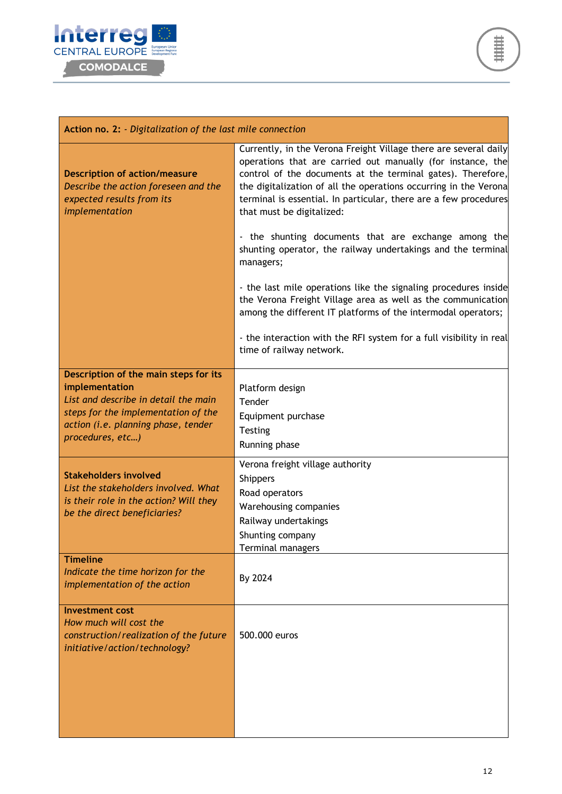![](_page_12_Picture_0.jpeg)

![](_page_12_Picture_1.jpeg)

| Action no. 2: - Digitalization of the last mile connection                                                                                                                                                                                                                                                                                                          |  |  |
|---------------------------------------------------------------------------------------------------------------------------------------------------------------------------------------------------------------------------------------------------------------------------------------------------------------------------------------------------------------------|--|--|
| Currently, in the Verona Freight Village there are several daily<br>operations that are carried out manually (for instance, the<br>control of the documents at the terminal gates). Therefore,<br>the digitalization of all the operations occurring in the Verona<br>terminal is essential. In particular, there are a few procedures<br>that must be digitalized: |  |  |
| - the shunting documents that are exchange among the<br>shunting operator, the railway undertakings and the terminal<br>managers;                                                                                                                                                                                                                                   |  |  |
| - the last mile operations like the signaling procedures inside<br>the Verona Freight Village area as well as the communication<br>among the different IT platforms of the intermodal operators;                                                                                                                                                                    |  |  |
| - the interaction with the RFI system for a full visibility in real<br>time of railway network.                                                                                                                                                                                                                                                                     |  |  |
| Platform design<br>Tender<br>Equipment purchase<br><b>Testing</b><br>Running phase                                                                                                                                                                                                                                                                                  |  |  |
| Verona freight village authority<br><b>Shippers</b><br>Road operators<br>Warehousing companies<br>Railway undertakings<br>Shunting company<br>Terminal managers                                                                                                                                                                                                     |  |  |
| By 2024                                                                                                                                                                                                                                                                                                                                                             |  |  |
| 500.000 euros                                                                                                                                                                                                                                                                                                                                                       |  |  |
|                                                                                                                                                                                                                                                                                                                                                                     |  |  |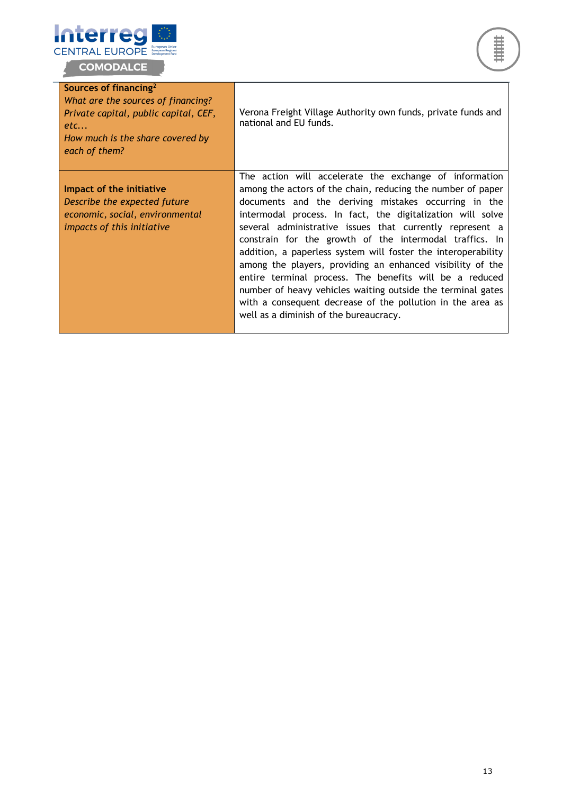![](_page_13_Picture_0.jpeg)

L.

![](_page_13_Picture_1.jpeg)

| Sources of financing <sup>2</sup><br>What are the sources of financing?<br>Private capital, public capital, CEF,<br>etc<br>How much is the share covered by<br>each of them? | Verona Freight Village Authority own funds, private funds and<br>national and EU funds.                                                                                                                                                                                                                                                                                                                                                                                                                                                                                                                                                                                                                                             |
|------------------------------------------------------------------------------------------------------------------------------------------------------------------------------|-------------------------------------------------------------------------------------------------------------------------------------------------------------------------------------------------------------------------------------------------------------------------------------------------------------------------------------------------------------------------------------------------------------------------------------------------------------------------------------------------------------------------------------------------------------------------------------------------------------------------------------------------------------------------------------------------------------------------------------|
| Impact of the initiative<br>Describe the expected future<br>economic, social, environmental<br>impacts of this initiative                                                    | The action will accelerate the exchange of information<br>among the actors of the chain, reducing the number of paper<br>documents and the deriving mistakes occurring in the<br>intermodal process. In fact, the digitalization will solve<br>several administrative issues that currently represent a<br>constrain for the growth of the intermodal traffics. In<br>addition, a paperless system will foster the interoperability<br>among the players, providing an enhanced visibility of the<br>entire terminal process. The benefits will be a reduced<br>number of heavy vehicles waiting outside the terminal gates<br>with a consequent decrease of the pollution in the area as<br>well as a diminish of the bureaucracy. |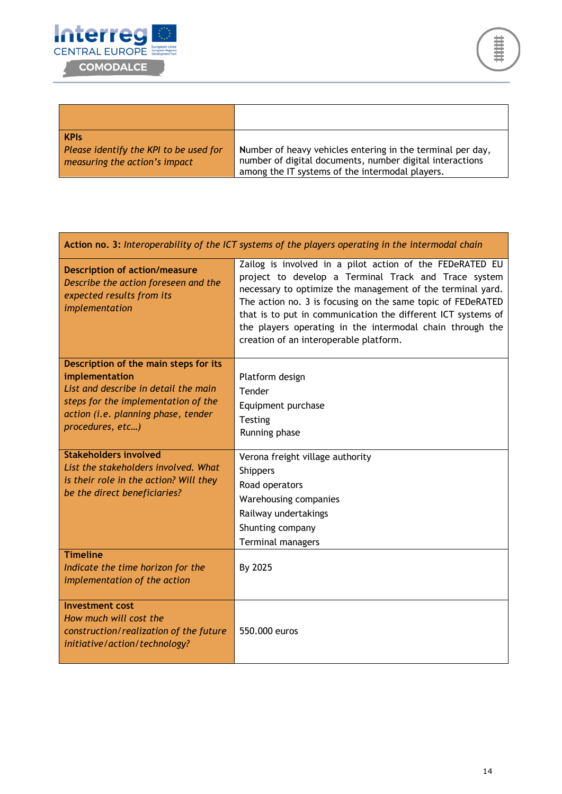![](_page_14_Picture_0.jpeg)

г

| <b>KPIS</b>                            | Number of heavy vehicles entering in the terminal per day, |
|----------------------------------------|------------------------------------------------------------|
| Please identify the KPI to be used for | number of digital documents, number digital interactions   |
| measuring the action's impact          | among the IT systems of the intermodal players.            |

| Action no. 3: Interoperability of the ICT systems of the players operating in the intermodal chain                                                                                                |                                                                                                                                                                                                                                                                                                                                                                                                                      |  |
|---------------------------------------------------------------------------------------------------------------------------------------------------------------------------------------------------|----------------------------------------------------------------------------------------------------------------------------------------------------------------------------------------------------------------------------------------------------------------------------------------------------------------------------------------------------------------------------------------------------------------------|--|
| <b>Description of action/measure</b><br>Describe the action foreseen and the<br>expected results from its<br>implementation                                                                       | Zailog is involved in a pilot action of the FEDeRATED EU<br>project to develop a Terminal Track and Trace system<br>necessary to optimize the management of the terminal yard.<br>The action no. 3 is focusing on the same topic of FEDeRATED<br>that is to put in communication the different ICT systems of<br>the players operating in the intermodal chain through the<br>creation of an interoperable platform. |  |
| Description of the main steps for its<br>implementation<br>List and describe in detail the main<br>steps for the implementation of the<br>action (i.e. planning phase, tender<br>procedures, etc) | Platform design<br>Tender<br>Equipment purchase<br>Testing<br>Running phase                                                                                                                                                                                                                                                                                                                                          |  |
| <b>Stakeholders involved</b><br>List the stakeholders involved. What<br>is their role in the action? Will they<br>be the direct beneficiaries?                                                    | Verona freight village authority<br><b>Shippers</b><br>Road operators<br>Warehousing companies<br>Railway undertakings<br>Shunting company<br>Terminal managers                                                                                                                                                                                                                                                      |  |
| <b>Timeline</b><br>Indicate the time horizon for the<br>implementation of the action                                                                                                              | By 2025                                                                                                                                                                                                                                                                                                                                                                                                              |  |
| <b>Investment cost</b><br>How much will cost the<br>construction/realization of the future<br>initiative/action/technology?                                                                       | 550,000 euros                                                                                                                                                                                                                                                                                                                                                                                                        |  |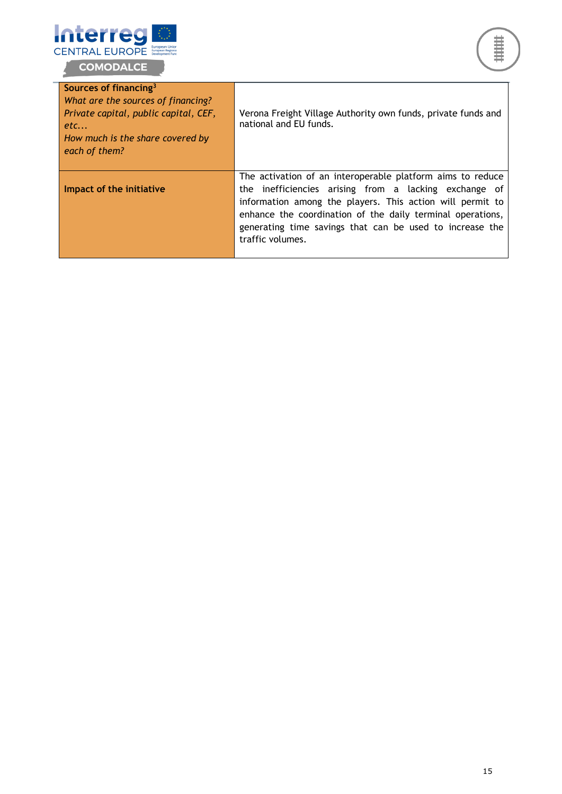![](_page_15_Picture_0.jpeg)

i.

![](_page_15_Picture_1.jpeg)

| Sources of financing <sup>3</sup><br>What are the sources of financing?<br>Private capital, public capital, CEF,<br>etc<br>How much is the share covered by<br>each of them? | Verona Freight Village Authority own funds, private funds and<br>national and EU funds.                                                                                                                                                                                                                                        |
|------------------------------------------------------------------------------------------------------------------------------------------------------------------------------|--------------------------------------------------------------------------------------------------------------------------------------------------------------------------------------------------------------------------------------------------------------------------------------------------------------------------------|
| Impact of the initiative                                                                                                                                                     | The activation of an interoperable platform aims to reduce<br>the inefficiencies arising from a lacking exchange of<br>information among the players. This action will permit to<br>enhance the coordination of the daily terminal operations,<br>generating time savings that can be used to increase the<br>traffic volumes. |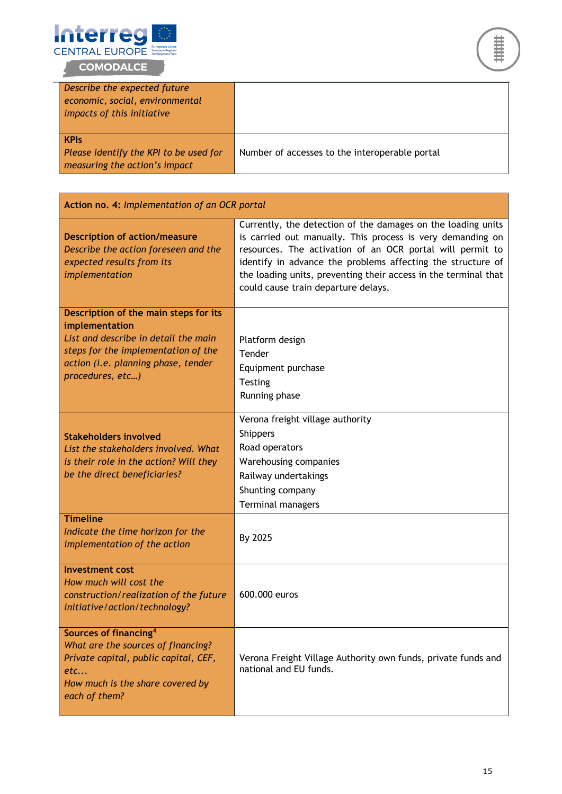![](_page_16_Picture_0.jpeg)

![](_page_16_Picture_1.jpeg)

| Describe the expected future<br>economic, social, environmental<br>impacts of this initiative |                                                |
|-----------------------------------------------------------------------------------------------|------------------------------------------------|
| <b>KPIS</b><br>Please identify the KPI to be used for<br>measuring the action's impact        | Number of accesses to the interoperable portal |

| Action no. 4: Implementation of an OCR portal                                                                                                                                                     |                                                                                                                                                                                                                                                                                                                                                                  |  |
|---------------------------------------------------------------------------------------------------------------------------------------------------------------------------------------------------|------------------------------------------------------------------------------------------------------------------------------------------------------------------------------------------------------------------------------------------------------------------------------------------------------------------------------------------------------------------|--|
| <b>Description of action/measure</b><br>Describe the action foreseen and the<br>expected results from its<br>implementation                                                                       | Currently, the detection of the damages on the loading units<br>is carried out manually. This process is very demanding on<br>resources. The activation of an OCR portal will permit to<br>identify in advance the problems affecting the structure of<br>the loading units, preventing their access in the terminal that<br>could cause train departure delays. |  |
| Description of the main steps for its<br>implementation<br>List and describe in detail the main<br>steps for the implementation of the<br>action (i.e. planning phase, tender<br>procedures, etc) | Platform design<br>Tender<br>Equipment purchase<br>Testing<br>Running phase                                                                                                                                                                                                                                                                                      |  |
| <b>Stakeholders involved</b><br>List the stakeholders involved. What<br>is their role in the action? Will they<br>be the direct beneficiaries?                                                    | Verona freight village authority<br><b>Shippers</b><br>Road operators<br>Warehousing companies<br>Railway undertakings<br>Shunting company<br>Terminal managers                                                                                                                                                                                                  |  |
| <b>Timeline</b><br>Indicate the time horizon for the<br>implementation of the action                                                                                                              | By 2025                                                                                                                                                                                                                                                                                                                                                          |  |
| <b>Investment cost</b><br>How much will cost the<br>construction/realization of the future<br>initiative/action/technology?                                                                       | 600.000 euros                                                                                                                                                                                                                                                                                                                                                    |  |
| Sources of financing <sup>4</sup><br>What are the sources of financing?<br>Private capital, public capital, CEF,<br>etc<br>How much is the share covered by<br>each of them?                      | Verona Freight Village Authority own funds, private funds and<br>national and EU funds.                                                                                                                                                                                                                                                                          |  |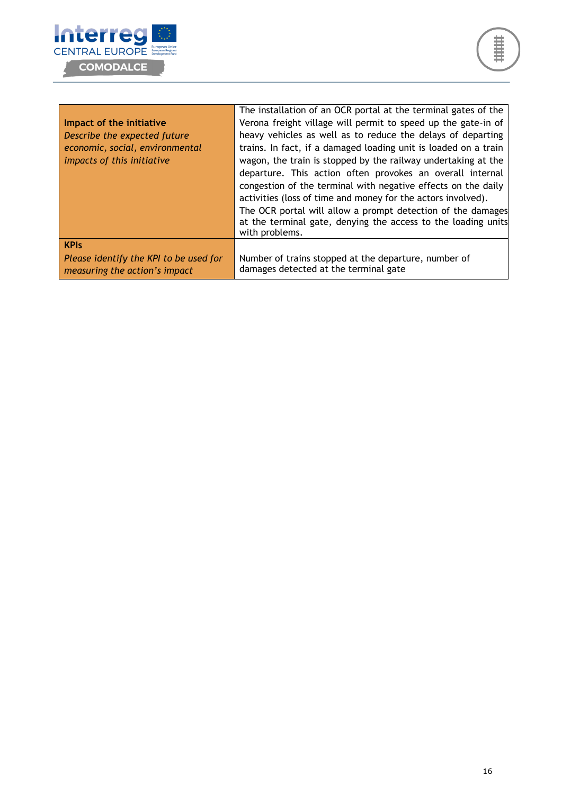![](_page_17_Picture_0.jpeg)

|                                        | The installation of an OCR portal at the terminal gates of the  |
|----------------------------------------|-----------------------------------------------------------------|
| Impact of the initiative               | Verona freight village will permit to speed up the gate-in of   |
| Describe the expected future           | heavy vehicles as well as to reduce the delays of departing     |
| economic, social, environmental        | trains. In fact, if a damaged loading unit is loaded on a train |
| impacts of this initiative             | wagon, the train is stopped by the railway undertaking at the   |
|                                        | departure. This action often provokes an overall internal       |
|                                        | congestion of the terminal with negative effects on the daily   |
|                                        | activities (loss of time and money for the actors involved).    |
|                                        | The OCR portal will allow a prompt detection of the damages     |
|                                        | at the terminal gate, denying the access to the loading units   |
|                                        | with problems.                                                  |
| <b>KPIs</b>                            |                                                                 |
| Please identify the KPI to be used for | Number of trains stopped at the departure, number of            |
| measuring the action's impact          | damages detected at the terminal gate                           |